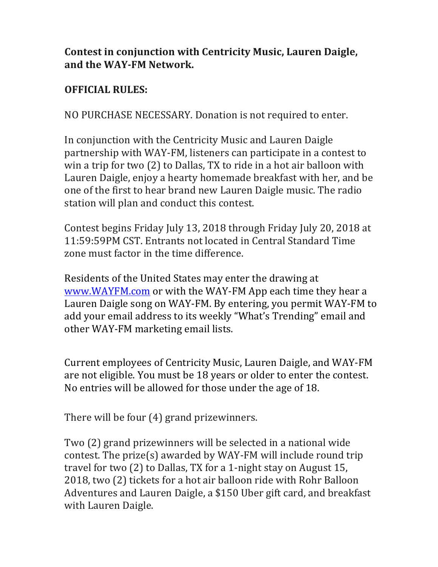## **Contest in conjunction with Centricity Music, Lauren Daigle,** and the WAY-FM Network.

## **OFFICIAL RULES:**

NO PURCHASE NECESSARY. Donation is not required to enter.

In conjunction with the Centricity Music and Lauren Daigle partnership with WAY-FM, listeners can participate in a contest to win a trip for two  $(2)$  to Dallas, TX to ride in a hot air balloon with Lauren Daigle, enjoy a hearty homemade breakfast with her, and be one of the first to hear brand new Lauren Daigle music. The radio station will plan and conduct this contest.

Contest begins Friday July 13, 2018 through Friday July 20, 2018 at 11:59:59PM CST. Entrants not located in Central Standard Time zone must factor in the time difference

Residents of the United States may enter the drawing at www.WAYFM.com or with the WAY-FM App each time they hear a Lauren Daigle song on WAY-FM. By entering, you permit WAY-FM to add your email address to its weekly "What's Trending" email and other WAY-FM marketing email lists.

Current employees of Centricity Music, Lauren Daigle, and WAY-FM are not eligible. You must be 18 years or older to enter the contest. No entries will be allowed for those under the age of 18.

There will be four  $(4)$  grand prizewinners.

Two (2) grand prizewinners will be selected in a national wide contest. The  $prize(s)$  awarded by WAY-FM will include round trip travel for two  $(2)$  to Dallas, TX for a 1-night stay on August 15, 2018, two (2) tickets for a hot air balloon ride with Rohr Balloon Adventures and Lauren Daigle, a \$150 Uber gift card, and breakfast with Lauren Daigle.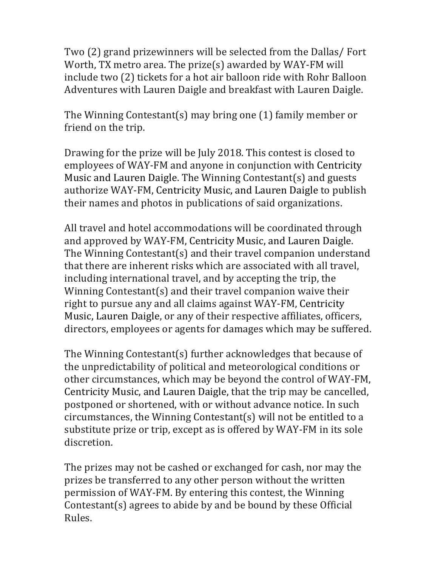Two (2) grand prizewinners will be selected from the Dallas/ Fort Worth, TX metro area. The prize(s) awarded by WAY-FM will include two (2) tickets for a hot air balloon ride with Rohr Balloon Adventures with Lauren Daigle and breakfast with Lauren Daigle.

The Winning Contestant(s) may bring one  $(1)$  family member or friend on the trip.

Drawing for the prize will be July 2018. This contest is closed to employees of WAY-FM and anyone in conjunction with Centricity Music and Lauren Daigle. The Winning Contestant(s) and guests authorize WAY-FM, Centricity Music, and Lauren Daigle to publish their names and photos in publications of said organizations.

All travel and hotel accommodations will be coordinated through and approved by WAY-FM, Centricity Music, and Lauren Daigle. The Winning Contestant(s) and their travel companion understand that there are inherent risks which are associated with all travel, including international travel, and by accepting the trip, the Winning Contestant(s) and their travel companion waive their right to pursue any and all claims against WAY-FM, Centricity Music, Lauren Daigle, or any of their respective affiliates, officers, directors, employees or agents for damages which may be suffered.

The Winning Contestant(s) further acknowledges that because of the unpredictability of political and meteorological conditions or other circumstances, which may be beyond the control of WAY-FM, Centricity Music, and Lauren Daigle, that the trip may be cancelled, postponed or shortened, with or without advance notice. In such circumstances, the Winning Contestant(s) will not be entitled to a substitute prize or trip, except as is offered by WAY-FM in its sole discretion.

The prizes may not be cashed or exchanged for cash, nor may the prizes be transferred to any other person without the written permission of WAY-FM. By entering this contest, the Winning Contestant $(s)$  agrees to abide by and be bound by these Official Rules.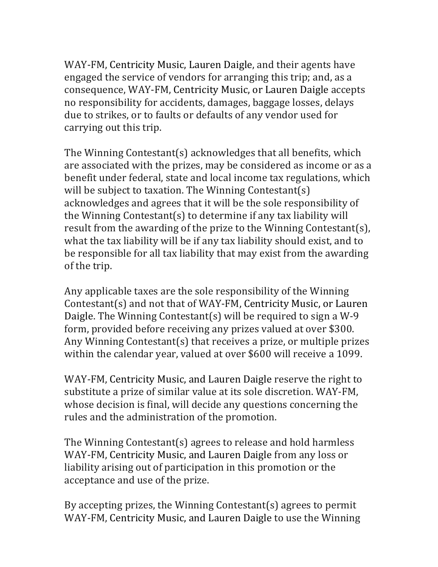WAY-FM, Centricity Music, Lauren Daigle, and their agents have engaged the service of vendors for arranging this trip; and, as a consequence, WAY-FM, Centricity Music, or Lauren Daigle accepts no responsibility for accidents, damages, baggage losses, delays due to strikes, or to faults or defaults of any vendor used for carrying out this trip.

The Winning Contestant(s) acknowledges that all benefits, which are associated with the prizes, may be considered as income or as a benefit under federal, state and local income tax regulations, which will be subject to taxation. The Winning Contestant(s) acknowledges and agrees that it will be the sole responsibility of the Winning Contestant(s) to determine if any tax liability will result from the awarding of the prize to the Winning Contestant(s), what the tax liability will be if any tax liability should exist, and to be responsible for all tax liability that may exist from the awarding of the trip.

Any applicable taxes are the sole responsibility of the Winning Contestant(s) and not that of WAY-FM, Centricity Music, or Lauren Daigle. The Winning Contestant(s) will be required to sign a W-9 form, provided before receiving any prizes valued at over \$300. Any Winning Contestant(s) that receives a prize, or multiple prizes within the calendar year, valued at over \$600 will receive a 1099.

WAY-FM, Centricity Music, and Lauren Daigle reserve the right to substitute a prize of similar value at its sole discretion. WAY-FM, whose decision is final, will decide any questions concerning the rules and the administration of the promotion.

The Winning Contestant(s) agrees to release and hold harmless WAY-FM, Centricity Music, and Lauren Daigle from any loss or liability arising out of participation in this promotion or the acceptance and use of the prize.

By accepting prizes, the Winning Contestant(s) agrees to permit WAY-FM, Centricity Music, and Lauren Daigle to use the Winning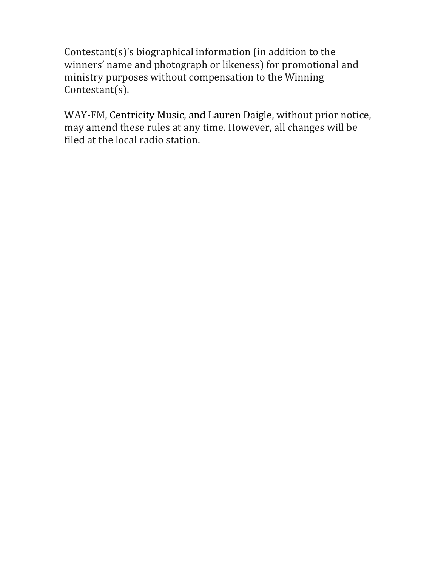Contestant $(s)$ 's biographical information (in addition to the winners' name and photograph or likeness) for promotional and ministry purposes without compensation to the Winning Contestant(s).

WAY-FM, Centricity Music, and Lauren Daigle, without prior notice, may amend these rules at any time. However, all changes will be filed at the local radio station.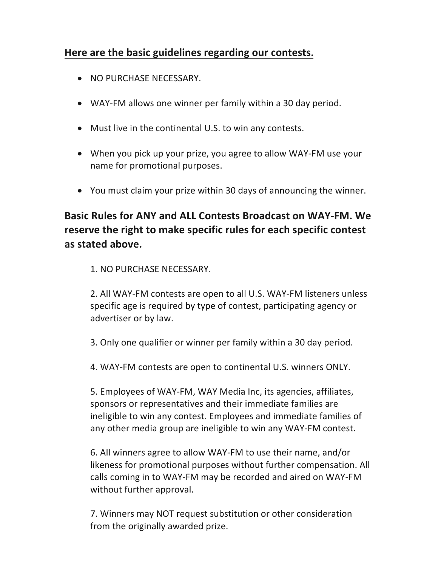## Here are the basic guidelines regarding our contests.

- NO PURCHASE NECESSARY.
- WAY-FM allows one winner per family within a 30 day period.
- Must live in the continental U.S. to win any contests.
- When you pick up your prize, you agree to allow WAY-FM use your name for promotional purposes.
- You must claim your prize within 30 days of announcing the winner.

## **Basic Rules for ANY and ALL Contests Broadcast on WAY-FM. We** reserve the right to make specific rules for each specific contest **as stated above.**

1. NO PURCHASE NECESSARY.

2. All WAY-FM contests are open to all U.S. WAY-FM listeners unless specific age is required by type of contest, participating agency or advertiser or by law.

3. Only one qualifier or winner per family within a 30 day period.

4. WAY-FM contests are open to continental U.S. winners ONLY.

5. Employees of WAY-FM, WAY Media Inc, its agencies, affiliates, sponsors or representatives and their immediate families are ineligible to win any contest. Employees and immediate families of any other media group are ineligible to win any WAY-FM contest.

6. All winners agree to allow WAY-FM to use their name, and/or likeness for promotional purposes without further compensation. All calls coming in to WAY-FM may be recorded and aired on WAY-FM without further approval.

7. Winners may NOT request substitution or other consideration from the originally awarded prize.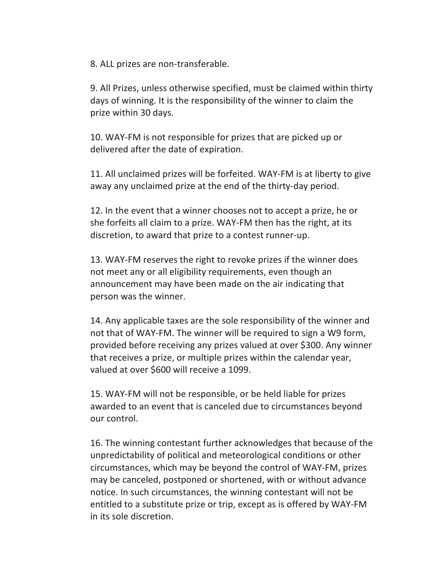8. ALL prizes are non-transferable.

9. All Prizes, unless otherwise specified, must be claimed within thirty days of winning. It is the responsibility of the winner to claim the prize within 30 days.

10. WAY-FM is not responsible for prizes that are picked up or delivered after the date of expiration.

11. All unclaimed prizes will be forfeited. WAY-FM is at liberty to give away any unclaimed prize at the end of the thirty-day period.

12. In the event that a winner chooses not to accept a prize, he or she forfeits all claim to a prize. WAY-FM then has the right, at its discretion, to award that prize to a contest runner-up.

13. WAY-FM reserves the right to revoke prizes if the winner does not meet any or all eligibility requirements, even though an announcement may have been made on the air indicating that person was the winner.

14. Any applicable taxes are the sole responsibility of the winner and not that of WAY-FM. The winner will be required to sign a W9 form, provided before receiving any prizes valued at over \$300. Any winner that receives a prize, or multiple prizes within the calendar year, valued at over \$600 will receive a 1099.

15. WAY-FM will not be responsible, or be held liable for prizes awarded to an event that is canceled due to circumstances beyond our control.

16. The winning contestant further acknowledges that because of the unpredictability of political and meteorological conditions or other circumstances, which may be beyond the control of WAY-FM, prizes may be canceled, postponed or shortened, with or without advance notice. In such circumstances, the winning contestant will not be entitled to a substitute prize or trip, except as is offered by WAY-FM in its sole discretion.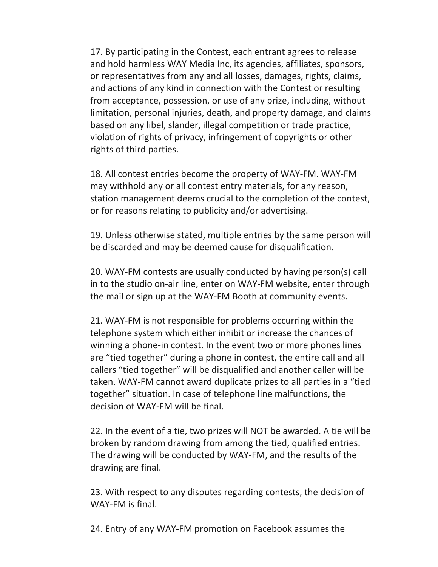17. By participating in the Contest, each entrant agrees to release and hold harmless WAY Media Inc, its agencies, affiliates, sponsors, or representatives from any and all losses, damages, rights, claims, and actions of any kind in connection with the Contest or resulting from acceptance, possession, or use of any prize, including, without limitation, personal injuries, death, and property damage, and claims based on any libel, slander, illegal competition or trade practice, violation of rights of privacy, infringement of copyrights or other rights of third parties.

18. All contest entries become the property of WAY-FM. WAY-FM may withhold any or all contest entry materials, for any reason, station management deems crucial to the completion of the contest, or for reasons relating to publicity and/or advertising.

19. Unless otherwise stated, multiple entries by the same person will be discarded and may be deemed cause for disqualification.

20. WAY-FM contests are usually conducted by having person(s) call in to the studio on-air line, enter on WAY-FM website, enter through the mail or sign up at the WAY-FM Booth at community events.

21. WAY-FM is not responsible for problems occurring within the telephone system which either inhibit or increase the chances of winning a phone-in contest. In the event two or more phones lines are "tied together" during a phone in contest, the entire call and all callers "tied together" will be disqualified and another caller will be taken. WAY-FM cannot award duplicate prizes to all parties in a "tied together" situation. In case of telephone line malfunctions, the decision of WAY-FM will be final.

22. In the event of a tie, two prizes will NOT be awarded. A tie will be broken by random drawing from among the tied, qualified entries. The drawing will be conducted by WAY-FM, and the results of the drawing are final.

23. With respect to any disputes regarding contests, the decision of WAY-FM is final.

24. Entry of any WAY-FM promotion on Facebook assumes the